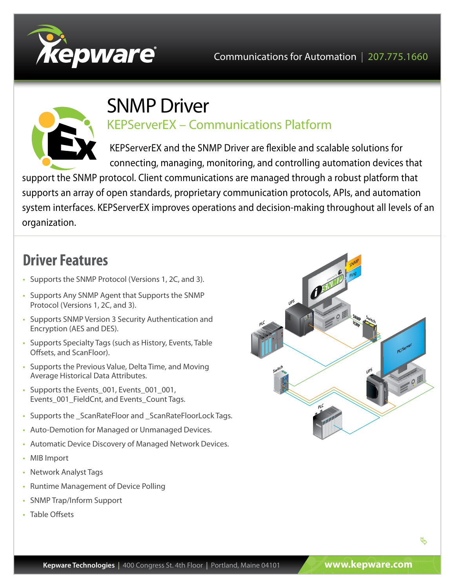



# SNMP Driver

KEPServerEX – Communications Platform

KEPServerEX and the SNMP Driver are flexible and scalable solutions for connecting, managing, monitoring, and controlling automation devices that

support the SNMP protocol. Client communications are managed through a robust platform that supports an array of open standards, proprietary communication protocols, APIs, and automation system interfaces. KEPServerEX improves operations and decision-making throughout all levels of an organization.

## **Driver Features**

- Supports the SNMP Protocol (Versions 1, 2C, and 3).
- Supports Any SNMP Agent that Supports the SNMP Protocol (Versions 1, 2C, and 3).
- Supports SNMP Version 3 Security Authentication and Encryption (AES and DES).
- Supports Specialty Tags (such as History, Events, Table Offsets, and ScanFloor).
- Supports the Previous Value, Delta Time, and Moving Average Historical Data Attributes.
- Supports the Events 001, Events 001 001, Events 001 FieldCnt, and Events Count Tags.
- Supports the \_ScanRateFloor and \_ScanRateFloorLock Tags.
- Auto-Demotion for Managed or Unmanaged Devices.
- Automatic Device Discovery of Managed Network Devices.
- MIB Import
- Network Analyst Tags
- Runtime Management of Device Polling
- SNMP Trap/Inform Support
- Table Offsets